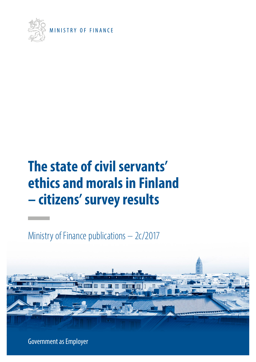

# **The state of civil servants' ethics and morals in Finland – citizens' survey results**

Ministry of Finance publications – 2c/2017

**THEFT IT** 

Government as Employer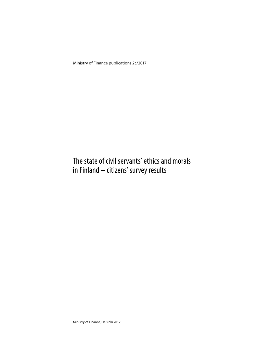Ministry of Finance publications 2c/2017

## The state of civil servants' ethics and morals in Finland – citizens' survey results

Ministry of Finance, Helsinki 2017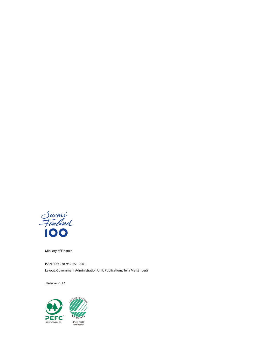

Ministry of Finance

ISBN PDF: 978-952-251-906-1 Layout: Government Administration Unit, Publications, Teija Metsänperä

Helsinki 2017

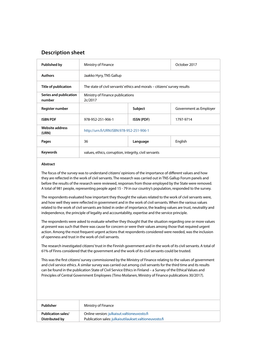### **Description sheet**

| <b>Published by</b>              | Ministry of Finance                                                       | October 2017      |                        |  |  |  |
|----------------------------------|---------------------------------------------------------------------------|-------------------|------------------------|--|--|--|
| <b>Authors</b>                   | Jaakko Hyry, TNS Gallup                                                   |                   |                        |  |  |  |
| Title of publication             | The state of civil servants' ethics and morals – citizens' survey results |                   |                        |  |  |  |
| Series and publication<br>number | Ministry of Finance publications<br>2c/2017                               |                   |                        |  |  |  |
| Register number                  |                                                                           | Subject           | Government as Employer |  |  |  |
| <b>ISBN PDF</b>                  | 978-952-251-906-1                                                         | <b>ISSN (PDF)</b> | 1797-9714              |  |  |  |
| Website address<br>(URN)         | http://urn.fi/URN:ISBN:978-952-251-906-1                                  |                   |                        |  |  |  |
| Pages                            | 36                                                                        | Language          | English                |  |  |  |
| Keywords                         | values, ethics, corruption, integrity, civil servants                     |                   |                        |  |  |  |

#### **Abstract**

The focus of the survey was to understand citizens' opinions of the importance of different values and how they are reflected in the work of civil servants. The research was carried out in TNS Gallup Forum panels and before the results of the research were reviewed, responses from those employed by the State were removed. A total of 981 people, representing people aged 15 - 79 in our country's population, responded to the survey.

The respondents evaluated how important they thought the values related to the work of civil servants were, and how well they were reflected in government and in the work of civil servants. When the various values related to the work of civil servants are listed in order of importance, the leading values are trust, neutrality and independence, the principle of legality and accountability, expertise and the service principle.

The respondents were asked to evaluate whether they thought that the situation regarding one or more values at present was such that there was cause for concern or were their values among those that required urgent action. Among the most frequent urgent actions that respondents considered were needed, was the inclusion of openness and trust in the work of civil servants.

The research investigated citizens' trust in the Finnish government and in the work of its civil servants. A total of 61% of Finns considered that the government and the work of its civil servants could be trusted.

This was the first citizens' survey commissioned by the Ministry of Finance relating to the values of government and civil service ethics. A similar survey was carried out among civil servants for the third time and its results can be found in the publication State of Civil Service Ethics in Finland – a Survey of the Ethical Values and Principles of Central Government Employees (Timo Moilanen, Ministry of Finance publications 30/2017).

| Publisher                 | Ministry of Finance                                    |
|---------------------------|--------------------------------------------------------|
| <b>Publication sales/</b> | Online version: julkaisut.valtioneuvosto.fi            |
| Distributed by            | Publication sales: julkaisutilaukset.valtioneuvosto.fi |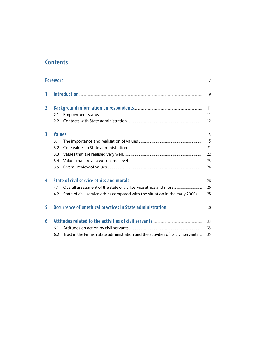## **Contents**

|                |               |                                                                                    | $\overline{7}$ |
|----------------|---------------|------------------------------------------------------------------------------------|----------------|
| 1              |               |                                                                                    | $\overline{9}$ |
| $\overline{2}$ |               |                                                                                    |                |
|                | 2.1           |                                                                                    |                |
|                | $2.2^{\circ}$ |                                                                                    | 12             |
| $\overline{3}$ |               |                                                                                    | 15             |
|                | 3.1           |                                                                                    |                |
|                | 3.2           |                                                                                    | 21             |
|                | 3.3           |                                                                                    |                |
|                |               |                                                                                    | 23             |
|                | 3.5           |                                                                                    | 24             |
| 4              |               |                                                                                    | 26             |
|                | 4.1           |                                                                                    | 26             |
|                | 4.2           | State of civil service ethics compared with the situation in the early 2000s       | 28             |
| 5              |               |                                                                                    | 30             |
| 6              |               |                                                                                    |                |
|                | 6.1           |                                                                                    | 33             |
|                | 6.2           | Trust in the Finnish State administration and the activities of its civil servants | 35             |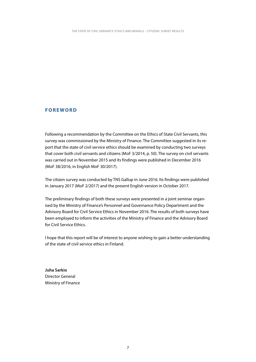#### <span id="page-8-0"></span>**FOREWORD**

Following a recommendation by the Committee on the Ethics of State Civil Servants, this survey was commissioned by the Ministry of Finance. The Committee suggested in its report that the state of civil service ethics should be examined by conducting two surveys that cover both civil servants and citizens (MoF 3/2014, p. 50). The survey on civil servants was carried out in November 2015 and its findings were published in December 2016 (MoF 38/2016, in English MoF 30/2017).

The citizen survey was conducted by TNS Gallup in June 2016. Its findings were published in January 2017 (MoF 2/2017) and the present English version in October 2017.

The preliminary findings of both these surveys were presented in a joint seminar organised by the Ministry of Finance's Personnel and Governance Policy Department and the Advisory Board for Civil Service Ethics in November 2016. The results of both surveys have been employed to inform the activities of the Ministry of Finance and the Advisory Board for Civil Service Ethics.

I hope that this report will be of interest to anyone wishing to gain a better understanding of the state of civil service ethics in Finland.

**Juha Sarkio** Director General Ministry of Finance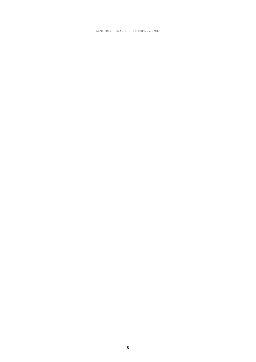#### MINISTRY OF FINANCE PUBLICATIONS 2C/2017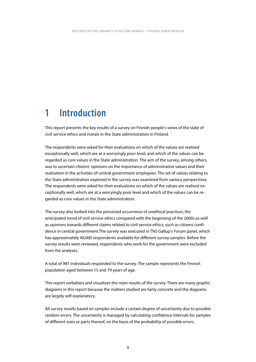## <span id="page-10-0"></span>**1 Introduction**

This report presents the key results of a survey on Finnish people's views of the state of civil service ethics and morals in the State administration in Finland.

The respondents were asked for their evaluations on which of the values are realised exceptionally well, which are at a worryingly poor level, and which of the values can be regarded as core values in the State administration. The aim of the survey, among others, was to ascertain citizens' opinions on the importance of administrative values and their realisation in the activities of central government employees. The set of values relating to the State administration explored in the survey was examined from various perspectives. The respondents were asked for their evaluations on which of the values are realised exceptionally well, which are at a worryingly poor level and which of the values can be regarded as core values in the State administration.

The survey also looked into the perceived occurrence of unethical practices, the anticipated trend of civil service ethics compared with the beginning of the 2000s as well as opinions towards different claims related to civil service ethics, such as citizens confidence in central government.The survey was executed in TNS Gallup's Forum panel, which has approximately 40,000 respondents available for different survey samples. Before the survey results were reviewed, respondents who work for the government were excluded from the analyses.

A total of 981 individuals responded to the survey. The sample represents the Finnish population aged between 15 and 79 years of age.

This report verbalizes and visualizes the main results of the survey. There are many graphic diagrams in this report because the matters studied are fairly concrete and the diagrams are largely self-explanatory.

All survey results based on samples include a certain degree of uncertainty due to possible random errors. The uncertainty is managed by calculating confidence intervals for samples of different sizes or parts thereof, on the basis of the probability of possible errors.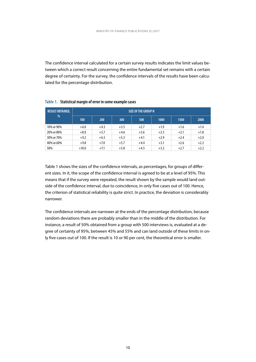The confidence interval calculated for a certain survey results indicates the limit values between which a correct result concerning the entire fundamental set remains with a certain degree of certainty. For the survey, the confidence intervals of the results have been calculated for the percentage distribution.

| <b>RESULT OBTAINED,</b> | SIZE OF THE GROUP N |        |        |        |        |        |        |
|-------------------------|---------------------|--------|--------|--------|--------|--------|--------|
| %                       | 100                 | 200    | 300    | 500    | 1000   | 1500   | 2000   |
| 10% or 90%              | $+6.0$              | $+4.3$ | $+3.5$ | $+2.7$ | $+1.9$ | $+1.6$ | $+1.4$ |
| 20% or 80%              | $+8.0$              | $+5.7$ | $+4.6$ | $+3.6$ | $+2.5$ | $+2.1$ | $+1.8$ |
| 30% or 70%              | $+9.2$              | $+6.5$ | $+5.3$ | $+4.1$ | $+2.9$ | $+2.4$ | $+2.0$ |
| 40% or 60%              | $+9.8$              | $+7.0$ | $+5.7$ | $+4.4$ | $+3.1$ | $+2.6$ | $+2.2$ |
| 50%                     | $+10.0$             | $+7.1$ | $+5.8$ | $+4.5$ | $+3.2$ | $+2.7$ | $+2.2$ |

#### **Table 1. Statistical margin of error in some example cases**

Table 1 shows the sizes of the confidence intervals, as percentages, for groups of different sizes. In it, the scope of the confidence interval is agreed to be at a level of 95%. This means that if the survey were repeated, the result shown by the sample would land outside of the confidence interval, due to coincidence, in only five cases out of 100. Hence, the criterion of statistical reliability is quite strict. In practice, the deviation is considerably narrower.

The confidence intervals are narrower at the ends of the percentage distribution, because random deviations there are probably smaller than in the middle of the distribution. For instance, a result of 50% obtained from a group with 500 interviews is, evaluated at a degree of certainty of 95%, between 45% and 55% and can land outside of these limits in only five cases out of 100. If the result is 10 or 90 per cent, the theoretical error is smaller.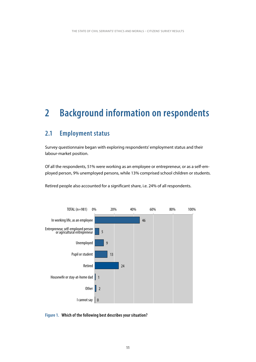## <span id="page-12-0"></span>**2 Background information on respondents**

## **2.1 Employment status**

Survey questionnaire began with exploring respondents' employment status and their labour-market position.

Of all the respondents, 51% were working as an employee or entrepreneur, or as a self-employed person, 9% unemployed persons, while 13% comprised school children or students.

Retired people also accounted for a significant share, i.e. 24% of all respondents.



**Figure 1. Which of the following best describes your situation?**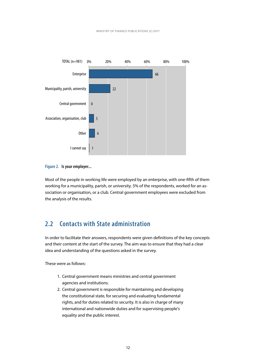#### MINISTRY OF FINANCE PUBLICATIONS 2C/2017

<span id="page-13-0"></span>

**Figure 2. Is your employer...**

Most of the people in working life were employed by an enterprise, with one-fifth of them working for a municipality, parish, or university. 5% of the respondents, worked for an association or organisation, or a club. Central government employees were excluded from the analysis of the results.

### **2.2 Contacts with State administration**

In order to facilitate their answers, respondents were given definitions of the key concepts and their content at the start of the survey. The aim was to ensure that they had a clear idea and understanding of the questions asked in the survey.

These were as follows:

- 1. Central government means ministries and central government agencies and institutions.
- 2. Central government is responsible for maintaining and developing the constitutional state, for securing and evaluating fundamental rights, and for duties related to security. It is also in charge of many international and nationwide duties and for supervising people's equality and the public interest.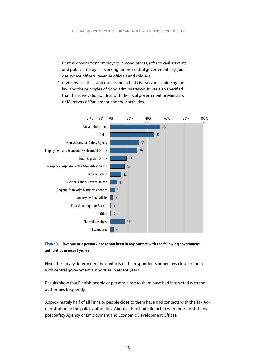- 3. Central government employees, among others, refer to civil servants and public employees working for the central government, e.g. judges, police officers, revenue officials and soldiers.
- 4. Civil service ethics and morals mean that civil servants abide by the law and the principles of good administration. It was also specified that the survey did not deal with the local government or Ministers or Members of Parliament and their activities.



### **Figure 3. Have you or a person close to you been in any contact with the following government authorities in recent years?**

Next, the survey determined the contacts of the respondents or persons close to them with central government authorities in recent years.

Results show that Finnish people or persons close to them have had interacted with the authorities frequently.

Approximately half of all Finns or people close to them have had contacts with the Tax Administration or the police authorities. About a third had interacted with the Finnish Transport Safety Agency or Employment and Economic Development Offices.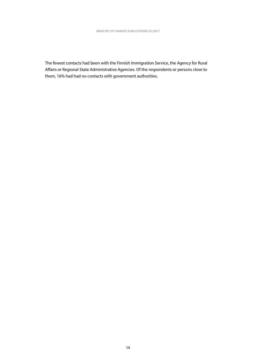The fewest contacts had been with the Finnish Immigration Service, the Agency for Rural Affairs or Regional State Administrative Agencies. Of the respondents or persons close to them, 16% had had no contacts with government authorities.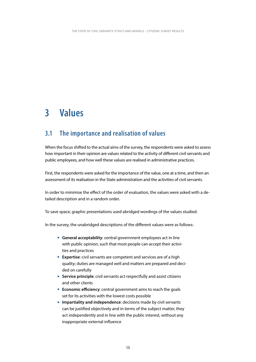## <span id="page-16-0"></span>**3 Values**

## **3.1 The importance and realisation of values**

When the focus shifted to the actual aims of the survey, the respondents were asked to assess how important in their opinion are values related to the activity of different civil servants and public employees, and how well these values are realised in administrative practices.

First, the respondents were asked for the importance of the value, one at a time, and then an assessment of its realisation in the State administration and the activities of civil servants.

In order to minimise the effect of the order of evaluation, the values were asked with a detailed description and in a random order.

To save space, graphic presentations used abridged wordings of the values studied.

In the survey, the unabridged descriptions of the different values were as follows:

- **• General acceptability**: central government employees act in line with public opinion, such that most people can accept their activities and practices
- **• Expertise**: civil servants are competent and services are of a high quality; duties are managed well and matters are prepared and decided on carefully
- **• Service principle**: civil servants act respectfully and assist citizens and other clients
- **• Economic efficiency**: central government aims to reach the goals set for its activities with the lowest costs possible
- **• Impartiality and independence**: decisions made by civil servants can be justified objectively and in terms of the subject matter, they act independently and in line with the public interest, without any inappropriate external influence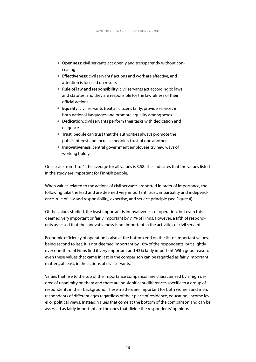- **• Openness**: civil servants act openly and transparently without concealing
- **• Effectiveness**: civil servants' actions and work are effective, and attention is focused on results
- **• Rule of law and responsibility**: civil servants act according to laws and statutes, and they are responsible for the lawfulness of their official actions
- **• Equality**: civil servants treat all citizens fairly, provide services in both national languages and promote equality among sexes
- **• Dedication**: civil servants perform their tasks with dedication and diligence
- **• Trust**: people can trust that the authorities always promote the public interest and increase people's trust of one another
- **• Innovativeness**: central government employees try new ways of working boldly

On a scale from 1 to 4, the average for all values is 3.58. This indicates that the values listed in the study are important for Finnish people.

When values related to the actions of civil servants are sorted in order of importance, the following take the lead and are deemed very important: trust, impartiality and independence, rule of law and responsibility, expertise, and service principle (see Figure 4).

Of the values studied, the least important is innovativeness of operation, but even this is deemed very important or fairly important by 71% of Finns. However, a fifth of respondents assessed that the innovativeness is not important in the activities of civil servants.

Economic efficiency of operation is also at the bottom end on the list of important values, being second to last. It is not deemed important by 16% of the respondents, but slightly over one-third of Finns find it very important and 43% fairly important. With good reason, even these values that came in last in the comparison can be regarded as fairly important matters, at least, in the actions of civil servants.

Values that rise to the top of the importance comparison are characterised by a high degree of unanimity on them and there are no significant differences specific to a group of respondents in their background. These matters are important for both women and men, respondents of different ages regardless of their place of residence, education, income level or political views. Instead, values that come at the bottom of the comparison and can be assessed as fairly important are the ones that divide the respondents' opinions.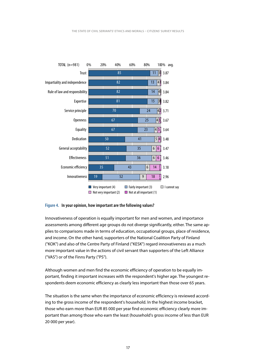

#### **Figure 4. In your opinion, how important are the following values?**

Innovativeness of operation is equally important for men and women, and importance assessments among different age groups do not diverge significantly, either. The same applies to comparisons made in terms of education, occupational groups, place of residence, and income. On the other hand, supporters of the National Coalition Party of Finland ("KOK") and also of the Centre Party of Finland ("KESK") regard innovativeness as a much more important value in the actions of civil servant than supporters of the Left Alliance ("VAS") or of the Finns Party ("PS").

Although women and men find the economic efficiency of operation to be equally important, finding it important increases with the respondent's higher age. The youngest respondents deem economic efficiency as clearly less important than those over 65 years.

The situation is the same when the importance of economic efficiency is reviewed according to the gross income of the respondent's household. In the highest income bracket, those who earn more than EUR 85 000 per year find economic efficiency clearly more important than among those who earn the least (household's gross income of less than EUR 20 000 per year).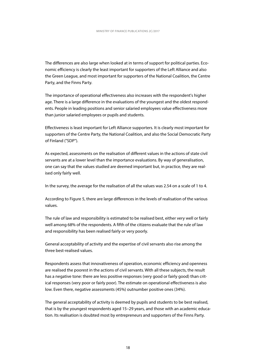The differences are also large when looked at in terms of support for political parties. Economic efficiency is clearly the least important for supporters of the Left Alliance and also the Green League, and most important for supporters of the National Coalition, the Centre Party, and the Finns Party.

The importance of operational effectiveness also increases with the respondent's higher age. There is a large difference in the evaluations of the youngest and the oldest respondents. People in leading positions and senior salaried employees value effectiveness more than junior salaried employees or pupils and students.

Effectiveness is least important for Left Alliance supporters. It is clearly most important for supporters of the Centre Party, the National Coalition, and also the Social Democratic Party of Finland ("SDP").

As expected, assessments on the realisation of different values in the actions of state civil servants are at a lower level than the importance evaluations. By way of generalisation, one can say that the values studied are deemed important but, in practice, they are realised only fairly well.

In the survey, the average for the realisation of all the values was 2.54 on a scale of 1 to 4.

According to Figure 5, there are large differences in the levels of realisation of the various values.

The rule of law and responsibility is estimated to be realised best, either very well or fairly well among 68% of the respondents. A fifth of the citizens evaluate that the rule of law and responsibility has been realised fairly or very poorly.

General acceptability of activity and the expertise of civil servants also rise among the three best-realised values.

Respondents assess that innovativeness of operation, economic efficiency and openness are realised the poorest in the actions of civil servants. With all these subjects, the result has a negative tone: there are less positive responses (very good or fairly good) than critical responses (very poor or fairly poor). The estimate on operational effectiveness is also low. Even there, negative assessments (45%) outnumber positive ones (34%).

The general acceptability of activity is deemed by pupils and students to be best realised, that is by the youngest respondents aged 15–29 years, and those with an academic education. Its realisation is doubted most by entrepreneurs and supporters of the Finns Party.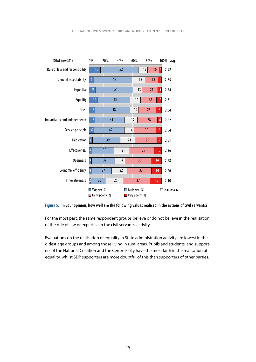

**Figure 5. In your opinion, how well are the following values realised in the actions of civil servants?**

For the most part, the same respondent groups believe or do not believe in the realisation of the rule of law or expertise in the civil servants' activity.

Evaluations on the realisation of equality in State administration activity are lowest in the oldest age groups and among those living in rural areas. Pupils and students, and supporters of the National Coalition and the Centre Party have the most faith in the realisation of equality, whilst SDP supporters are more doubtful of this than supporters of other parties.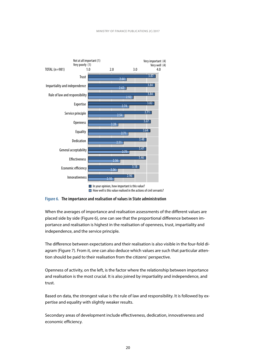

**Figure 6. The importance and realisation of values in State administration** 

When the averages of importance and realisation assessments of the different values are placed side by side (Figure 6), one can see that the proportional difference between importance and realisation is highest in the realisation of openness, trust, impartiality and independence, and the service principle.

The difference between expectations and their realisation is also visible in the four-fold diagram (Figure 7). From it, one can also deduce which values are such that particular attention should be paid to their realisation from the citizens' perspective.

Openness of activity, on the left, is the factor where the relationship between importance and realisation is the most crucial. It is also joined by impartiality and independence, and trust.

Based on data, the strongest value is the rule of law and responsibility. It is followed by expertise and equality with slightly weaker results.

Secondary areas of development include effectiveness, dedication, innovativeness and economic efficiency.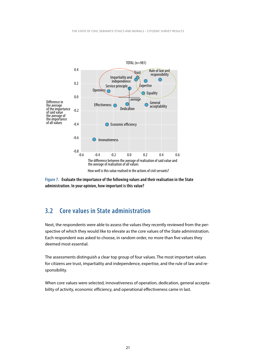<span id="page-22-0"></span>

**Figure 7. Evaluate the importance of the following values and their realisation in the State administration. In your opinion, how important is this value?**

### **3.2 Core values in State administration**

Next, the respondents were able to assess the values they recently reviewed from the perspective of which they would like to elevate as the core values of the State administration. Each respondent was asked to choose, in random order, no more than five values they deemed most essential.

The assessments distinguish a clear top group of four values. The most important values for citizens are trust, impartiality and independence, expertise, and the rule of law and responsibility.

When core values were selected, innovativeness of operation, dedication, general acceptability of activity, economic efficiency, and operational effectiveness came in last.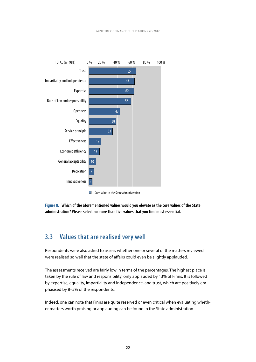#### MINISTRY OF FINANCE PUBLICATIONS 2C/2017

<span id="page-23-0"></span>

**Figure 8. Which of the aforementioned values would you elevate as the core values of the State administration? Please select no more than five values that you find most essential.**

### **3.3 Values that are realised very well**

Respondents were also asked to assess whether one or several of the matters reviewed were realised so well that the state of affairs could even be slightly applauded.

The assessments received are fairly low in terms of the percentages. The highest place is taken by the rule of law and responsibility, only applauded by 13% of Finns. It is followed by expertise, equality, impartiality and independence, and trust, which are positively emphasised by 8–5% of the respondents.

Indeed, one can note that Finns are quite reserved or even critical when evaluating whether matters worth praising or applauding can be found in the State administration.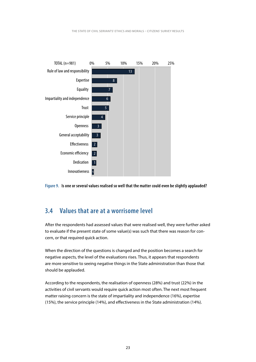<span id="page-24-0"></span>

Figure 9. Is one or several values realised so well that the matter could even be slightly applauded?

### **3.4 Values that are at a worrisome level**

After the respondents had assessed values that were realised well, they were further asked to evaluate if the present state of some value(s) was such that there was reason for concern, or that required quick action.

When the direction of the questions is changed and the position becomes a search for negative aspects, the level of the evaluations rises. Thus, it appears that respondents are more sensitive to seeing negative things in the State administration than those that should be applauded.

According to the respondents, the realisation of openness (28%) and trust (22%) in the activities of civil servants would require quick action most often. The next most frequent matter raising concern is the state of impartiality and independence (16%), expertise (15%), the service principle (14%), and effectiveness in the State administration (14%).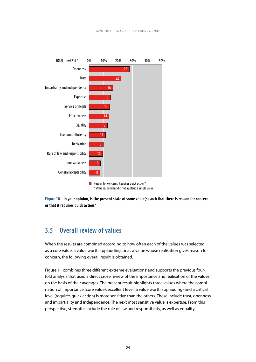#### MINISTRY OF FINANCE PUBLICATIONS 2C/2017

<span id="page-25-0"></span>

**Figure 10. In your opinion, is the present state of some value(s) such that there is reason for concern or that it requires quick action?**

## **3.5 Overall review of values**

When the results are combined according to how often each of the values was selected as a core value, a value worth applauding, or as a value whose realisation gives reason for concern, the following overall result is obtained.

Figure 11 combines three different 'extreme evaluations' and supports the previous fourfold analysis that used a direct cross-review of the importance and realisation of the values, on the basis of their averages. The present result highlights three values where the combination of importance (core value), excellent level (a value worth applauding) and a critical level (requires quick action) is more sensitive than the others. These include trust, openness and impartiality and independence. The next most sensitive value is expertise. From this perspective, strengths include the rule of law and responsibility, as well as equality.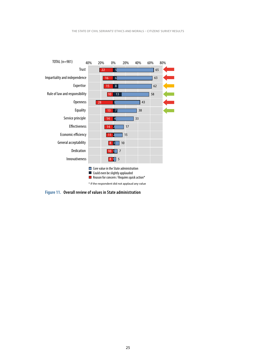

**Figure 11. Overall review of values in State administration**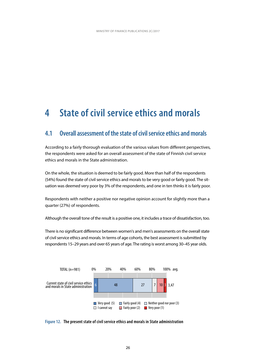## <span id="page-27-0"></span>**4 State of civil service ethics and morals**

## **4.1 Overall assessment of the state of civil service ethics and morals**

According to a fairly thorough evaluation of the various values from different perspectives, the respondents were asked for an overall assessment of the state of Finnish civil service ethics and morals in the State administration.

On the whole, the situation is deemed to be fairly good. More than half of the respondents (54%) found the state of civil service ethics and morals to be very good or fairly good. The situation was deemed very poor by 3% of the respondents, and one in ten thinks it is fairly poor.

Respondents with neither a positive nor negative opinion account for slightly more than a quarter (27%) of respondents.

Although the overall tone of the result is a positive one, it includes a trace of dissatisfaction, too.

There is no significant difference between women's and men's assessments on the overall state of civil service ethics and morals. In terms of age cohorts, the best assessment is submitted by respondents 15–29 years and over 65 years of age. The rating is worst among 30–45 year olds.



**Figure 12. The present state of civil service ethics and morals in State administration**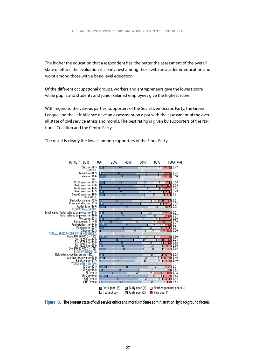The higher the education that a respondent has, the better the assessment of the overall state of ethics; the evaluation is clearly best among those with an academic education and worst among those with a basic-level education.

Of the different occupational groups, workers and entrepreneurs give the lowest score while pupils and students and junior salaried employees give the highest score.

With regard to the various parties, supporters of the Social Democratic Party, the Green League and the Left Alliance gave an assessment on a par with the assessment of the overall state of civil service ethics and morals. The best rating is given by supporters of the National Coalition and the Centre Party.



The result is clearly the lowest among supporters of the Finns Party.

**Figure 13. The present state of civil service ethics and morals in State administration, by background factors**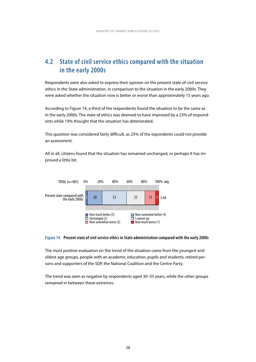## <span id="page-29-0"></span>**4.2 State of civil service ethics compared with the situation in the early 2000s**

Respondents were also asked to express their opinion on the present state of civil service ethics in the State administration, in comparison to the situation in the early 2000s. They were asked whether the situation now is better or worse than approximately 15 years ago.

According to Figure 14, a third of the respondents found the situation to be the same as in the early 2000s. The state of ethics was deemed to have improved by a 23% of respondents while 19% thought that the situation has deteriorated.

This question was considered fairly difficult, as 25% of the espondents could not provide an assessment.

All in all, citizens found that the situation has remained unchanged, or perhaps it has improved a little bit.



#### **Figure 14. Present state of civil service ethics in State administration compared with the early 2000s**

The most positive evaluation on the trend of the situation came from the youngest and oldest age groups, people with an academic education, pupils and students, retired persons and supporters of the SDP, the National Coalition and the Centre Party.

The trend was seen as negative by respondents aged 30–55 years, while the other groups remained in between these extremes.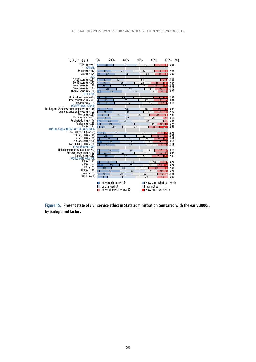

**Figure 15. Present state of civil service ethics in State administration compared with the early 2000s, by background factors**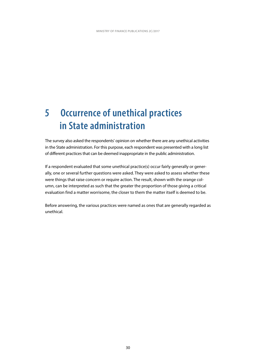## <span id="page-31-0"></span>**5 Occurrence of unethical practices in State administration**

The survey also asked the respondents' opinion on whether there are any unethical activities in the State administration. For this purpose, each respondent was presented with a long list of different practices that can be deemed inappropriate in the public administration.

If a respondent evaluated that some unethical practice(s) occur fairly generally or generally, one or several further questions were asked. They were asked to assess whether these were things that raise concern or require action. The result, shown with the orange column, can be interpreted as such that the greater the proportion of those giving a critical evaluation find a matter worrisome, the closer to them the matter itself is deemed to be.

Before answering, the various practices were named as ones that are generally regarded as unethical.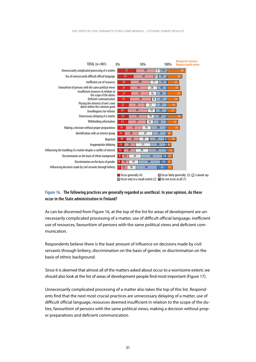

### **Figure 16. The following practices are generally regarded as unethical. In your opinion, do these occur in the State administration in Finland?**

As can be discerned from Figure 16, at the top of the list for areas of development are unnecessarily complicated processing of a matter, use of difficult official language, inefficient use of resources, favouritism of persons with the same political views and deficient communication.

Respondents believe there is the least amount of influence on decisions made by civil servants through bribery, discrimination on the basis of gender, or discrimination on the basis of ethnic background.

Since it is deemed that almost all of the matters asked about occur to a worrisome extent, we should also look at the list of areas of development people find most important (Figure 17).

Unnecessarily complicated processing of a matter also takes the top of this list. Respondents find that the next most crucial practices are unnecessary delaying of a matter, use of difficult official language, resources deemed insufficient in relation to the scope of the duties, favouritism of persons with the same political views, making a decision without proper preparations and deficient communication.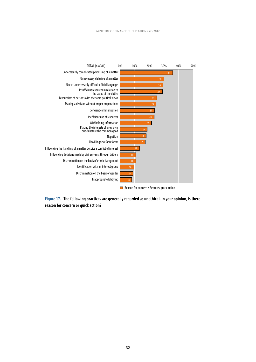#### MINISTRY OF FINANCE PUBLICATIONS 2C/2017



**Figure 17. The following practices are generally regarded as unethical. In your opinion, is there reason for concern or quick action?**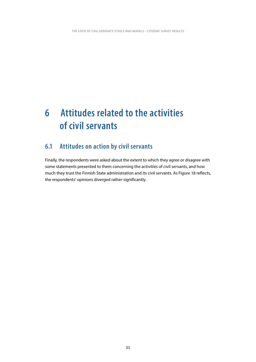## <span id="page-34-0"></span>**6 Attitudes related to the activities of civil servants**

## **6.1 Attitudes on action by civil servants**

Finally, the respondents were asked about the extent to which they agree or disagree with some statements presented to them concerning the activities of civil servants, and how much they trust the Finnish State administration and its civil servants. As Figure 18 reflects, the respondents' opinions diverged rather significantly.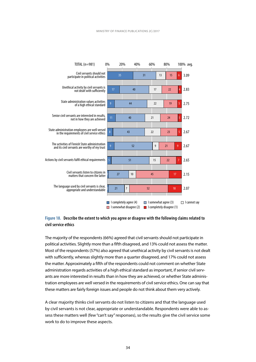#### MINISTRY OF FINANCE PUBLICATIONS 2C/2017



#### **Figure 18. Describe the extent to which you agree or disagree with the following claims related to civil service ethics**

The majority of the respondents (66%) agreed that civil servants should not participate in political activities. Slightly more than a fifth disagreed, and 13% could not assess the matter. Most of the respondents (57%) also agreed that unethical activity by civil servants is not dealt with sufficiently, whereas slightly more than a quarter disagreed, and 17% could not assess the matter. Approximately a fifth of the respondents could not comment on whether State administration regards activities of a high ethical standard as important, if senior civil servants are more interested in results than in how they are achieved, or whether State administration employees are well versed in the requirements of civil service ethics. One can say that these matters are fairly foreign issues and people do not think about them very actively.

A clear majority thinks civil servants do not listen to citizens and that the language used by civil servants is not clear, appropriate or understandable. Respondents were able to assess these matters well (few "can't say" responses), so the results give the civil service some work to do to improve these aspects.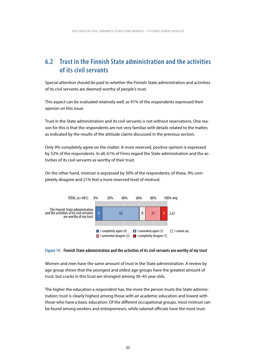## <span id="page-36-0"></span>**6.2 Trust in the Finnish State administration and the activities of its civil servants**

Special attention should be paid to whether the Finnish State administration and activities of its civil servants are deemed worthy of people's trust.

This aspect can be evaluated relatively well, as 91% of the respondents expressed their opinion on this issue.

Trust in the State administration and its civil servants is not without reservations. One reason for this is that the respondents are not very familiar with details related to the matter, as indicated by the results of the attitude claims discussed in the previous section.

Only 9% completely agree on the matter. A more reserved, positive opinion is expressed by 52% of the respondents. In all, 61% of Finns regard the State administration and the activities of its civil servants as worthy of their trust.

On the other hand, mistrust is expressed by 30% of the respondents; of these, 9% completely disagree and 21% feel a more reserved level of mistrust.



#### **Figure 19. Finnish State administration and the activities of its civil servants are worthy of my trust**

Women and men have the same amount of trust in the State administration. A review by age group shows that the youngest and oldest age groups have the greatest amount of trust, but cracks in this trust are strongest among 30–45 year olds.

The higher the education a respondent has, the more the person trusts the State administration; trust is clearly highest among those with an academic education and lowest with those who have a basic education. Of the different occupational groups, most mistrust can be found among workers and entrepreneurs, while salaried officials have the most trust.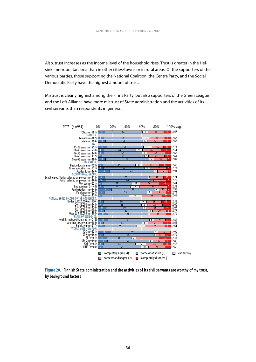Also, trust increases as the income level of the household rises. Trust is greater in the Helsinki metropolitan area than in other cities/towns or in rural areas. Of the supporters of the various parties, those supporting the National Coalition, the Centre Party, and the Social Democratic Party have the highest amount of trust.

Mistrust is clearly highest among the Finns Party, but also supporters of the Green League and the Left Alliance have more mistrust of State administration and the activities of its civil servants than respondents in general.



**Figure 20. Finnish State administration and the activities of its civil servants are worthy of my trust, by background factors**